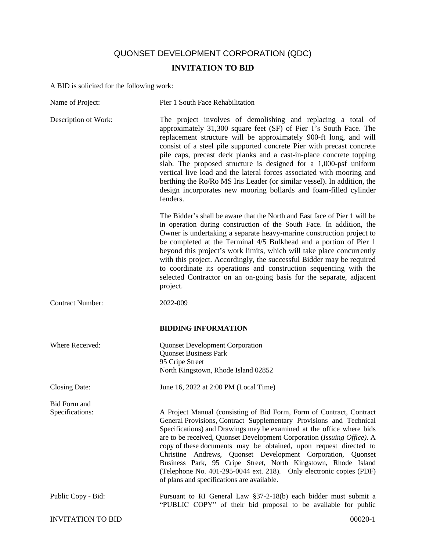## QUONSET DEVELOPMENT CORPORATION (QDC)

## **INVITATION TO BID**

A BID is solicited for the following work:

| Name of Project:                | Pier 1 South Face Rehabilitation                                                                                                                                                                                                                                                                                                                                                                                                                                                                                                                                                                                                                                |
|---------------------------------|-----------------------------------------------------------------------------------------------------------------------------------------------------------------------------------------------------------------------------------------------------------------------------------------------------------------------------------------------------------------------------------------------------------------------------------------------------------------------------------------------------------------------------------------------------------------------------------------------------------------------------------------------------------------|
| Description of Work:            | The project involves of demolishing and replacing a total of<br>approximately 31,300 square feet (SF) of Pier 1's South Face. The<br>replacement structure will be approximately 900-ft long, and will<br>consist of a steel pile supported concrete Pier with precast concrete<br>pile caps, precast deck planks and a cast-in-place concrete topping<br>slab. The proposed structure is designed for a 1,000-psf uniform<br>vertical live load and the lateral forces associated with mooring and<br>berthing the Ro/Ro MS Iris Leader (or similar vessel). In addition, the<br>design incorporates new mooring bollards and foam-filled cylinder<br>fenders. |
|                                 | The Bidder's shall be aware that the North and East face of Pier 1 will be<br>in operation during construction of the South Face. In addition, the<br>Owner is undertaking a separate heavy-marine construction project to<br>be completed at the Terminal 4/5 Bulkhead and a portion of Pier 1<br>beyond this project's work limits, which will take place concurrently<br>with this project. Accordingly, the successful Bidder may be required<br>to coordinate its operations and construction sequencing with the<br>selected Contractor on an on-going basis for the separate, adjacent<br>project.                                                       |
| <b>Contract Number:</b>         | 2022-009                                                                                                                                                                                                                                                                                                                                                                                                                                                                                                                                                                                                                                                        |
|                                 | <b>BIDDING INFORMATION</b>                                                                                                                                                                                                                                                                                                                                                                                                                                                                                                                                                                                                                                      |
| Where Received:                 | <b>Quonset Development Corporation</b><br><b>Quonset Business Park</b><br>95 Cripe Street<br>North Kingstown, Rhode Island 02852                                                                                                                                                                                                                                                                                                                                                                                                                                                                                                                                |
| Closing Date:                   | June 16, 2022 at 2:00 PM (Local Time)                                                                                                                                                                                                                                                                                                                                                                                                                                                                                                                                                                                                                           |
| Bid Form and<br>Specifications: | A Project Manual (consisting of Bid Form, Form of Contract, Contract<br>General Provisions, Contract Supplementary Provisions and Technical<br>Specifications) and Drawings may be examined at the office where bids<br>are to be received, Quonset Development Corporation (Issuing Office). A<br>copy of these documents may be obtained, upon request directed to<br>Christine Andrews, Quonset Development Corporation, Quonset<br>Business Park, 95 Cripe Street, North Kingstown, Rhode Island<br>(Telephone No. 401-295-0044 ext. 218). Only electronic copies (PDF)<br>of plans and specifications are available.                                       |
| Public Copy - Bid:              | Pursuant to RI General Law §37-2-18(b) each bidder must submit a<br>"PUBLIC COPY" of their bid proposal to be available for public                                                                                                                                                                                                                                                                                                                                                                                                                                                                                                                              |
| <b>INVITATION TO BID</b>        | 00020-1                                                                                                                                                                                                                                                                                                                                                                                                                                                                                                                                                                                                                                                         |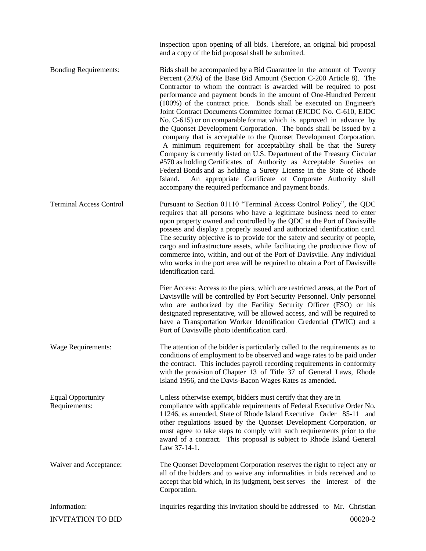INVITATION TO BID 00020-2 inspection upon opening of all bids. Therefore, an original bid proposal and a copy of the bid proposal shall be submitted. Bonding Requirements: Bids shall be accompanied by a Bid Guarantee in the amount of Twenty Percent (20%) of the Base Bid Amount (Section C-200 Article 8). The Contractor to whom the contract is awarded will be required to post performance and payment bonds in the amount of One-Hundred Percent (100%) of the contract price. Bonds shall be executed on Engineer's Joint Contract Documents Committee format (EJCDC No. C-610, EJDC No. C-615) or on comparable format which is approved in advance by the Quonset Development Corporation. The bonds shall be issued by a company that is acceptable to the Quonset Development Corporation. A minimum requirement for acceptability shall be that the Surety Company is currently listed on U.S. Department of the Treasury Circular #570 as holding Certificates of Authority as Acceptable Sureties on Federal Bonds and as holding a Surety License in the State of Rhode Island. An appropriate Certificate of Corporate Authority shall accompany the required performance and payment bonds. Terminal Access Control Pursuant to Section 01110 "Terminal Access Control Policy", the QDC requires that all persons who have a legitimate business need to enter upon property owned and controlled by the QDC at the Port of Davisville possess and display a properly issued and authorized identification card. The security objective is to provide for the safety and security of people, cargo and infrastructure assets, while facilitating the productive flow of commerce into, within, and out of the Port of Davisville. Any individual who works in the port area will be required to obtain a Port of Davisville identification card. Pier Access: Access to the piers, which are restricted areas, at the Port of Davisville will be controlled by Port Security Personnel. Only personnel who are authorized by the Facility Security Officer (FSO) or his designated representative, will be allowed access, and will be required to have a Transportation Worker Identification Credential (TWIC) and a Port of Davisville photo identification card. Wage Requirements: The attention of the bidder is particularly called to the requirements as to conditions of employment to be observed and wage rates to be paid under the contract. This includes payroll recording requirements in conformity with the provision of Chapter 13 of Title 37 of General Laws, Rhode Island 1956, and the Davis-Bacon Wages Rates as amended. Equal Opportunity Unless otherwise exempt, bidders must certify that they are in Requirements: compliance with applicable requirements of Federal Executive Order No. 11246, as amended, State of Rhode Island Executive Order 85-11 and other regulations issued by the Quonset Development Corporation, or must agree to take steps to comply with such requirements prior to the award of a contract. This proposal is subject to Rhode Island General Law 37-14-1. Waiver and Acceptance: The Quonset Development Corporation reserves the right to reject any or all of the bidders and to waive any informalities in bids received and to accept that bid which, in its judgment, best serves the interest of the Corporation. Information: Inquiries regarding this invitation should be addressed to Mr. Christian